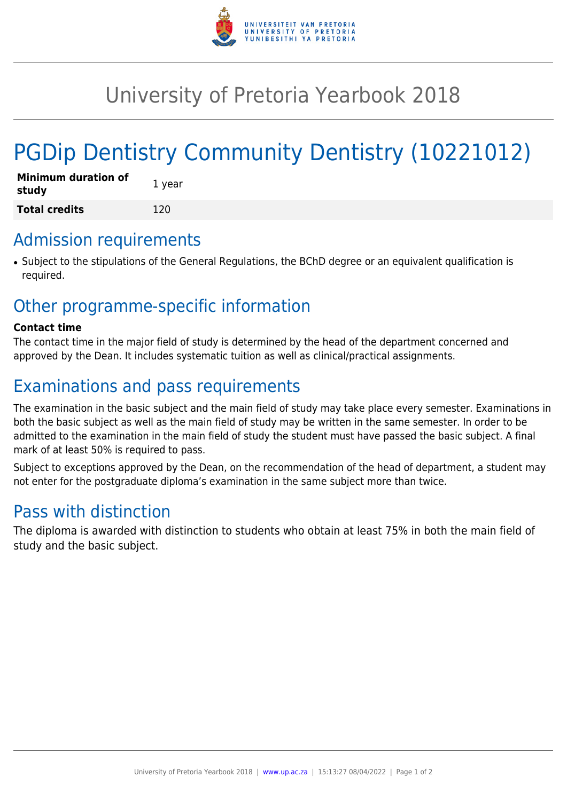

## University of Pretoria Yearbook 2018

# PGDip Dentistry Community Dentistry (10221012)

| <b>Minimum duration of</b><br>study | 1 year |
|-------------------------------------|--------|
| <b>Total credits</b>                | 120    |

### Admission requirements

● Subject to the stipulations of the General Regulations, the BChD degree or an equivalent qualification is required.

## Other programme-specific information

#### **Contact time**

The contact time in the major field of study is determined by the head of the department concerned and approved by the Dean. It includes systematic tuition as well as clinical/practical assignments.

## Examinations and pass requirements

The examination in the basic subject and the main field of study may take place every semester. Examinations in both the basic subject as well as the main field of study may be written in the same semester. In order to be admitted to the examination in the main field of study the student must have passed the basic subject. A final mark of at least 50% is required to pass.

Subject to exceptions approved by the Dean, on the recommendation of the head of department, a student may not enter for the postgraduate diploma's examination in the same subject more than twice.

### Pass with distinction

The diploma is awarded with distinction to students who obtain at least 75% in both the main field of study and the basic subject.